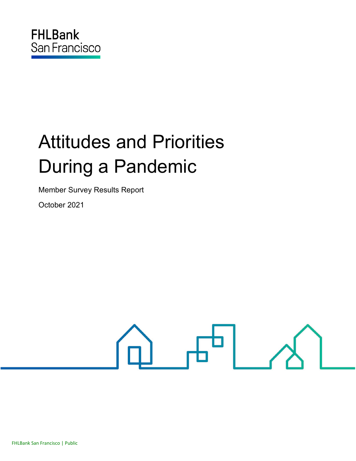# Attitudes and Priorities During a Pandemic

Member Survey Results Report

October 2021

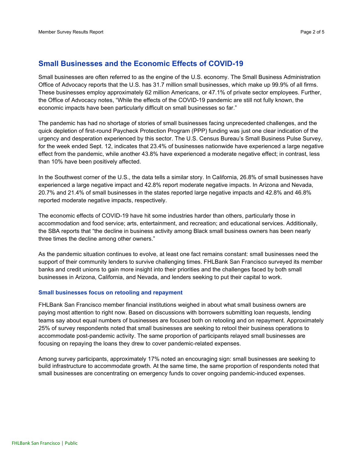## **Small Businesses and the Economic Effects of COVID-19**

Small businesses are often referred to as the engine of the U.S. economy. The Small Business Administration Office of Advocacy [reports](https://cdn.advocacy.sba.gov/wp-content/uploads/2020/11/05122043/Small-Business-FAQ-2020.pdf) that the U.S. has 31.7 million small businesses, which make up 99.9% of all firms. These businesses employ approximately 62 million Americans, or 47.1% of private sector employees. Further, the Office of Advocacy notes, "While the effects of the COVID-19 pandemic are still not fully known, the economic impacts have been particularly difficult on small businesses so far."

The pandemic has had no shortage of stories of small businesses facing unprecedented challenges, and the quick depletion of first-round Paycheck Protection Program (PPP) funding was just one clear indication of the urgency and desperation experienced by this sector. The U.S. Census Bureau's [Small Business Pulse Survey,](https://portal.census.gov/pulse/data/#data) for the week ended Sept. 12, indicates that 23.4% of businesses nationwide have experienced a large negative effect from the pandemic, while another 43.8% have experienced a moderate negative effect; in contrast, less than 10% have been positively affected.

In the Southwest corner of the U.S., the data tells a similar story. In California, 26.8% of small businesses have experienced a large negative impact and 42.8% report moderate negative impacts. In Arizona and Nevada, 20.7% and 21.4% of small businesses in the states reported large negative impacts and 42.8% and 46.8% reported moderate negative impacts, respectively.

The economic effects of COVID-19 have hit some industries harder than others, particularly those in accommodation and food service; arts, entertainment, and recreation; and educational services. Additionally, the SBA reports that "the decline in business activity among Black small business owners has been nearly three times the decline among other owners."

As the pandemic situation continues to evolve, at least one fact remains constant: small businesses need the support of their community lenders to survive challenging times. FHLBank San Francisco surveyed its member banks and credit unions to gain more insight into their priorities and the challenges faced by both small businesses in Arizona, California, and Nevada, and lenders seeking to put their capital to work.

#### **Small businesses focus on retooling and repayment**

FHLBank San Francisco member financial institutions weighed in about what small business owners are paying most attention to right now. Based on discussions with borrowers submitting loan requests, lending teams say about equal numbers of businesses are focused both on retooling and on repayment. Approximately 25% of survey respondents noted that small businesses are seeking to retool their business operations to accommodate post-pandemic activity. The same proportion of participants relayed small businesses are focusing on repaying the loans they drew to cover pandemic-related expenses.

Among survey participants, approximately 17% noted an encouraging sign: small businesses are seeking to build infrastructure to accommodate growth. At the same time, the same proportion of respondents noted that small businesses are concentrating on emergency funds to cover ongoing pandemic-induced expenses.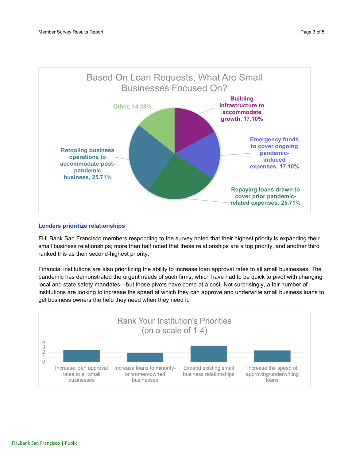

### **Lenders prioritize relationships**

FHLBank San Francisco members responding to the survey noted that their highest priority is expanding their small business relationships; more than half noted that these relationships are a top priority, and another third ranked this as their second-highest priority.

Financial institutions are also prioritizing the ability to increase loan approval rates to all small businesses. The pandemic has demonstrated the urgent needs of such firms, which have had to be quick to pivot with changing local and state safety mandates—but those pivots have come at a cost. Not surprisingly, a fair number of institutions are looking to increase the speed at which they can approve and underwrite small business loans to get business owners the help they need when they need it.

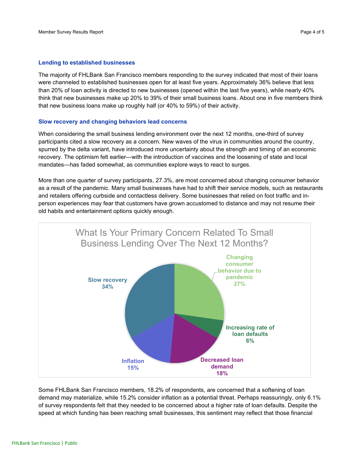#### **Lending to established businesses**

The majority of FHLBank San Francisco members responding to the survey indicated that most of their loans were channeled to established businesses open for at least five years. Approximately 36% believe that less than 20% of loan activity is directed to new businesses (opened within the last five years), while nearly 40% think that new businesses make up 20% to 39% of their small business loans. About one in five members think that new business loans make up roughly half (or 40% to 59%) of their activity.

#### **Slow recovery and changing behaviors lead concerns**

When considering the small business lending environment over the next 12 months, one-third of survey participants cited a slow recovery as a concern. New waves of the virus in communities around the country, spurred by the delta variant, have introduced more uncertainty about the strength and timing of an economic recovery. The optimism felt earlier—with the introduction of vaccines and the loosening of state and local mandates—has faded somewhat, as communities explore ways to react to surges.

More than one quarter of survey participants, 27.3%, are most concerned about changing consumer behavior as a result of the pandemic. Many small businesses have had to shift their service models, such as restaurants and retailers offering curbside and contactless delivery. Some businesses that relied on foot traffic and inperson experiences may fear that customers have grown accustomed to distance and may not resume their old habits and entertainment options quickly enough.



Some FHLBank San Francisco members, 18.2% of respondents, are concerned that a softening of loan demand may materialize, while 15.2% consider inflation as a potential threat. Perhaps reassuringly, only 6.1% of survey respondents felt that they needed to be concerned about a higher rate of loan defaults. Despite the speed at which funding has been reaching small businesses, this sentiment may reflect that those financial